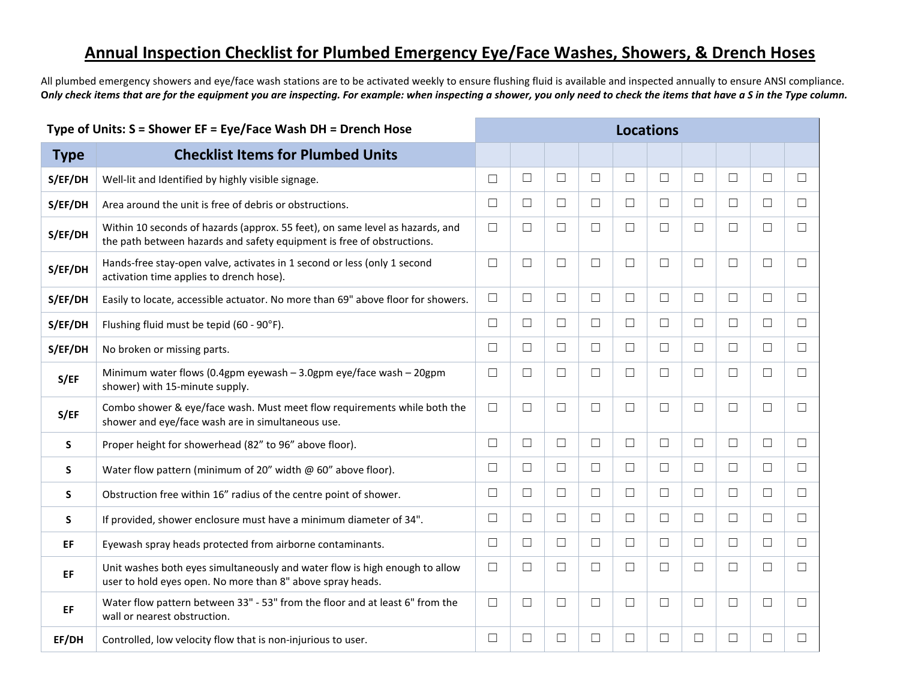## **Annual Inspection Checklist for Plumbed Emergency Eye/Face Washes, Showers, & Drench Hoses**

All plumbed emergency showers and eye/face wash stations are to be activated weekly to ensure flushing fluid is available and inspected annually to ensure ANSI compliance. **O***nly check items that are for the equipment you are inspecting. For example: when inspecting a shower, you only need to check the items that have a S in the Type column.*

| Type of Units: S = Shower EF = Eye/Face Wash DH = Drench Hose |                                                                                                                                                         |        | <b>Locations</b> |        |        |        |        |        |        |        |        |
|---------------------------------------------------------------|---------------------------------------------------------------------------------------------------------------------------------------------------------|--------|------------------|--------|--------|--------|--------|--------|--------|--------|--------|
| <b>Type</b>                                                   | <b>Checklist Items for Plumbed Units</b>                                                                                                                |        |                  |        |        |        |        |        |        |        |        |
| S/EF/DH                                                       | Well-lit and Identified by highly visible signage.                                                                                                      | $\Box$ | $\Box$           | $\Box$ | $\Box$ | $\Box$ | $\Box$ | $\Box$ | $\Box$ | $\Box$ | $\Box$ |
| S/EF/DH                                                       | Area around the unit is free of debris or obstructions.                                                                                                 | $\Box$ | $\Box$           | $\Box$ | $\Box$ | $\Box$ | $\Box$ | $\Box$ | $\Box$ | $\Box$ | $\Box$ |
| S/EF/DH                                                       | Within 10 seconds of hazards (approx. 55 feet), on same level as hazards, and<br>the path between hazards and safety equipment is free of obstructions. | $\Box$ | $\Box$           | $\Box$ | $\Box$ | $\Box$ | $\Box$ | $\Box$ | $\Box$ | $\Box$ | $\Box$ |
| S/EF/DH                                                       | Hands-free stay-open valve, activates in 1 second or less (only 1 second<br>activation time applies to drench hose).                                    | $\Box$ | $\Box$           | $\Box$ | $\Box$ | $\Box$ | $\Box$ | $\Box$ | $\Box$ | $\Box$ | $\Box$ |
| S/EF/DH                                                       | Easily to locate, accessible actuator. No more than 69" above floor for showers.                                                                        | $\Box$ | $\Box$           | $\Box$ | $\Box$ | $\Box$ | $\Box$ | $\Box$ | $\Box$ | $\Box$ | $\Box$ |
| S/EF/DH                                                       | Flushing fluid must be tepid (60 - 90°F).                                                                                                               | $\Box$ | $\Box$           | $\Box$ | $\Box$ | $\Box$ | $\Box$ | $\Box$ | $\Box$ | $\Box$ | $\Box$ |
| S/EF/DH                                                       | No broken or missing parts.                                                                                                                             | $\Box$ | $\Box$           | $\Box$ | $\Box$ | $\Box$ | $\Box$ | $\Box$ | $\Box$ | $\Box$ | $\Box$ |
| S/EF                                                          | Minimum water flows (0.4gpm eyewash - 3.0gpm eye/face wash - 20gpm<br>shower) with 15-minute supply.                                                    | $\Box$ | $\Box$           | $\Box$ | $\Box$ | $\Box$ | $\Box$ | $\Box$ | $\Box$ | $\Box$ | $\Box$ |
| S/EF                                                          | Combo shower & eye/face wash. Must meet flow requirements while both the<br>shower and eye/face wash are in simultaneous use.                           | $\Box$ | $\Box$           | $\Box$ | $\Box$ | $\Box$ | $\Box$ | $\Box$ | $\Box$ | $\Box$ | $\Box$ |
| S                                                             | Proper height for showerhead (82" to 96" above floor).                                                                                                  | $\Box$ | $\Box$           | $\Box$ | $\Box$ | $\Box$ | $\Box$ | $\Box$ | $\Box$ | $\Box$ | $\Box$ |
| S                                                             | Water flow pattern (minimum of 20" width @ 60" above floor).                                                                                            | $\Box$ | $\Box$           | $\Box$ | $\Box$ | $\Box$ | $\Box$ | $\Box$ | $\Box$ | $\Box$ | $\Box$ |
| S                                                             | Obstruction free within 16" radius of the centre point of shower.                                                                                       | $\Box$ | $\Box$           | $\Box$ | $\Box$ | $\Box$ | $\Box$ | $\Box$ | $\Box$ | $\Box$ | $\Box$ |
| S                                                             | If provided, shower enclosure must have a minimum diameter of 34".                                                                                      | $\Box$ | $\Box$           | $\Box$ | $\Box$ | $\Box$ | $\Box$ | $\Box$ | $\Box$ | $\Box$ | $\Box$ |
| EF                                                            | Eyewash spray heads protected from airborne contaminants.                                                                                               | $\Box$ | $\Box$           | $\Box$ | $\Box$ | $\Box$ | $\Box$ | $\Box$ | $\Box$ | $\Box$ | $\Box$ |
| EF                                                            | Unit washes both eyes simultaneously and water flow is high enough to allow<br>user to hold eyes open. No more than 8" above spray heads.               | $\Box$ | $\Box$           | $\Box$ | $\Box$ | $\Box$ | $\Box$ | $\Box$ | $\Box$ | $\Box$ | $\Box$ |
| EF.                                                           | Water flow pattern between 33" - 53" from the floor and at least 6" from the<br>wall or nearest obstruction.                                            | $\Box$ | $\Box$           | $\Box$ | $\Box$ | $\Box$ | $\Box$ | $\Box$ | $\Box$ | $\Box$ | $\Box$ |
| EF/DH                                                         | Controlled, low velocity flow that is non-injurious to user.                                                                                            | $\Box$ | $\Box$           | □      | $\Box$ | $\Box$ | $\Box$ | $\Box$ | $\Box$ | $\Box$ | П      |